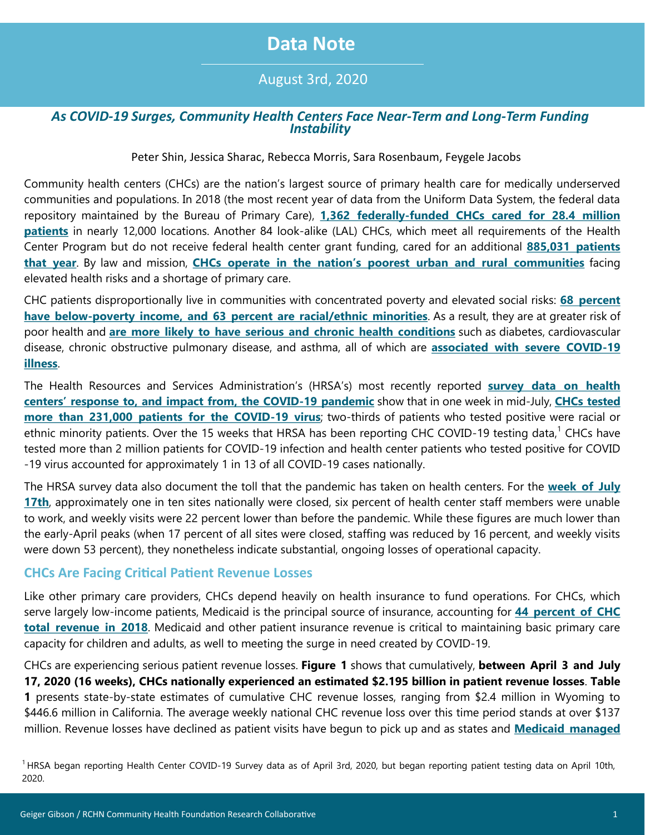## **Data Note**

### August 3rd, 2020

#### *As COVID-19 Surges, Community Health Centers Face Near-Term and Long-Term Funding Instability*

Peter Shin, Jessica Sharac, Rebecca Morris, Sara Rosenbaum, Feygele Jacobs

Community health centers (CHCs) are the nation's largest source of primary health care for medically underserved communities and populations. In 2018 (the most recent year of data from the Uniform Data System, the federal data repository maintained by the Bureau of Primary Care), **[1,362 federally-funded CHCs cared for 28.4 million](https://bphc.hrsa.gov/uds/datacenter.aspx)  [patients](https://bphc.hrsa.gov/uds/datacenter.aspx)** in nearly 12,000 locations. Another 84 look-alike (LAL) CHCs, which meet all requirements of the Health Center Program but do not receive federal health center grant funding, cared for an additional **[885,031 patients](https://bphc.hrsa.gov/uds/lookalikes.aspx?state=national)  [that year](https://bphc.hrsa.gov/uds/lookalikes.aspx?state=national)**. By law and mission, **[CHCs operate in the nation's poorest urban and rural communities](https://www.nejm.org/doi/full/10.1056/NEJMp2020576)** facing elevated health risks and a shortage of primary care.

CHC patients disproportionally live in communities with concentrated poverty and elevated social risks: **[68 percent](https://bphc.hrsa.gov/uds/datacenter.aspx)  [have below-poverty income, and 63 percent are racial/ethnic minorities](https://bphc.hrsa.gov/uds/datacenter.aspx)**. As a result, they are at greater risk of poor health and **[are more likely to have serious and chronic health conditions](https://www.rchnfoundation.org/?p=8618)** such as diabetes, cardiovascular disease, chronic obstructive pulmonary disease, and asthma, all of which are **[associated with severe COVID-19](https://www.cdc.gov/mmwr/volumes/69/wr/mm6929a1.htm)  [illness](https://www.cdc.gov/mmwr/volumes/69/wr/mm6929a1.htm)**.

The Health Resources and Services Administration's (HRSA's) most recently reported **[survey data on health](https://bphc.hrsa.gov/emergency-response/coronavirus-health-center-data)  [centers' response to, and impact from, the COVID](https://bphc.hrsa.gov/emergency-response/coronavirus-health-center-data)-19 pandemic** show that in one week in mid-July, **[CHCs tested](https://www.rchnfoundation.org/?p=9067)  [more than 231,000 patients for the COVID-19 virus](https://www.rchnfoundation.org/?p=9067)**; two-thirds of patients who tested positive were racial or ethnic minority patients. Over the 15 weeks that HRSA has been reporting CHC COVID-19 testing data,<sup>1</sup> CHCs have tested more than 2 million patients for COVID-19 infection and health center patients who tested positive for COVID -19 virus accounted for approximately 1 in 13 of all COVID-19 cases nationally.

The HRSA survey data also document the toll that the pandemic has taken on health centers. For the **[week of July](https://www.rchnfoundation.org/?p=9067)  [17th](https://www.rchnfoundation.org/?p=9067)**, approximately one in ten sites nationally were closed, six percent of health center staff members were unable to work, and weekly visits were 22 percent lower than before the pandemic. While these figures are much lower than the early-April peaks (when 17 percent of all sites were closed, staffing was reduced by 16 percent, and weekly visits were down 53 percent), they nonetheless indicate substantial, ongoing losses of operational capacity.

#### **CHCs Are Facing Critical Patient Revenue Losses**

Like other primary care providers, CHCs depend heavily on health insurance to fund operations. For CHCs, which serve largely low-income patients, Medicaid is the principal source of insurance, accounting for **[44 percent of CHC](https://www.rchnfoundation.org/?p=8436)  [total revenue in 2018](https://www.rchnfoundation.org/?p=8436)**. Medicaid and other patient insurance revenue is critical to maintaining basic primary care capacity for children and adults, as well to meeting the surge in need created by COVID-19.

CHCs are experiencing serious patient revenue losses. **Figure 1** shows that cumulatively, **between April 3 and July 17, 2020 (16 weeks), CHCs nationally experienced an estimated \$2.195 billion in patient revenue losses**. **Table 1** presents state-by-state estimates of cumulative CHC revenue losses, ranging from \$2.4 million in Wyoming to \$446.6 million in California. The average weekly national CHC revenue loss over this time period stands at over \$137 million. Revenue losses have declined as patient visits have begun to pick up and as states and **[Medicaid managed](https://www.commonwealthfund.org/blog/2020/states-are-using-medicaid-managed-care-address-covid-19-pandemic)**

<sup>1</sup> HRSA began reporting Health Center COVID-19 Survey data as of April 3rd, 2020, but began reporting patient testing data on April 10th, 2020.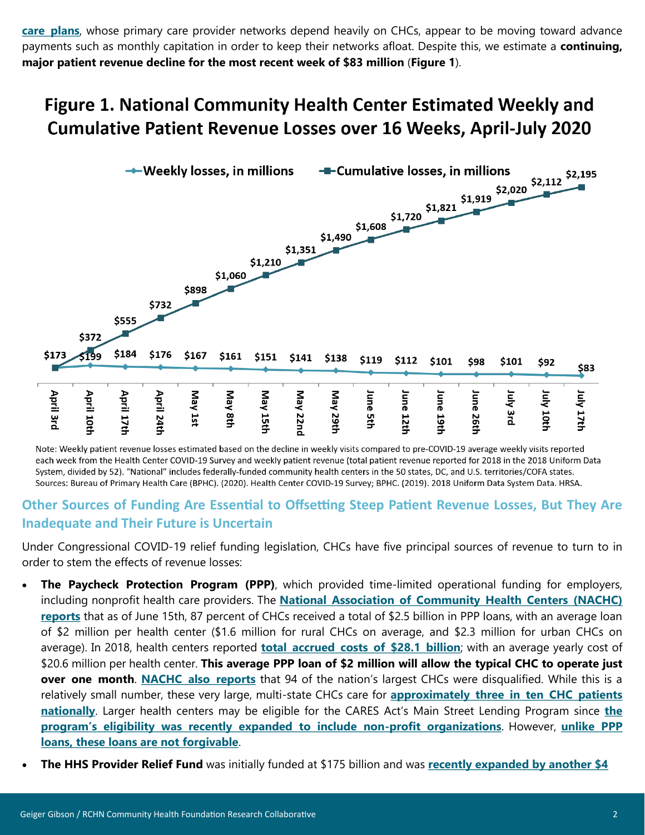**[care plans](https://www.commonwealthfund.org/blog/2020/states-are-using-medicaid-managed-care-address-covid-19-pandemic)**, whose primary care provider networks depend heavily on CHCs, appear to be moving toward advance payments such as monthly capitation in order to keep their networks afloat. Despite this, we estimate a **continuing, major patient revenue decline for the most recent week of \$83 million** (**Figure 1**).

# Figure 1. National Community Health Center Estimated Weekly and **Cumulative Patient Revenue Losses over 16 Weeks, April-July 2020**



Note: Weekly patient revenue losses estimated based on the decline in weekly visits compared to pre-COVID-19 average weekly visits reported each week from the Health Center COVID-19 Survey and weekly patient revenue (total patient revenue reported for 2018 in the 2018 Uniform Data System, divided by 52). "National" includes federally-funded community health centers in the 50 states, DC, and U.S. territories/COFA states. Sources: Bureau of Primary Health Care (BPHC). (2020). Health Center COVID-19 Survey; BPHC. (2019). 2018 Uniform Data System Data. HRSA.

#### **Other Sources of Funding Are Essential to Offsetting Steep Patient Revenue Losses, But They Are Inadequate and Their Future is Uncertain**

Under Congressional COVID-19 relief funding legislation, CHCs have five principal sources of revenue to turn to in order to stem the effects of revenue losses:

- **The Paycheck Protection Program (PPP)**, which provided time-limited operational funding for employers, including nonprofit health care providers. The **[National Association of Community Health Centers \(NACHC\)](https://www.nachc.org/wp-content/uploads/2020/07/Health-Centers-and-PPP-Loans-Final.pdf)  [reports](https://www.nachc.org/wp-content/uploads/2020/07/Health-Centers-and-PPP-Loans-Final.pdf)** that as of June 15th, 87 percent of CHCs received a total of \$2.5 billion in PPP loans, with an average loan of \$2 million per health center (\$1.6 million for rural CHCs on average, and \$2.3 million for urban CHCs on average). In 2018, health centers reported **[total accrued costs of \\$28.1 billion](https://bphc.hrsa.gov/uds/datacenter.aspx)**; with an average yearly cost of \$20.6 million per health center. **This average PPP loan of \$2 million will allow the typical CHC to operate just over one month**. **[NACHC also reports](https://www.nachc.org/wp-content/uploads/2020/07/Health-Center-Success-in-Obtaining-Paycheck-Protection-Loans-6-15-20.pdf)** that 94 of the nation's largest CHCs were disqualified. While this is a relatively small number, these very large, multi-state CHCs care for **[approximately three in ten CHC patients](https://www.healthaffairs.org/do/10.1377/hblog20200409.175784/full/?fbclid=IwAR2_LjJDq_oL3MU8WiDR6kDLElie58c1kSc9KY6l0_SODmAthI582KLEMV0)  [nationally](https://www.healthaffairs.org/do/10.1377/hblog20200409.175784/full/?fbclid=IwAR2_LjJDq_oL3MU8WiDR6kDLElie58c1kSc9KY6l0_SODmAthI582KLEMV0)**. Larger health centers may be eligible for the CARES Act's Main Street Lending Program since **[the](https://www.latimes.com/business/story/2020-07-18/fed-nonprofit)  [program's eligibility was recently expanded to include non](https://www.latimes.com/business/story/2020-07-18/fed-nonprofit)-profit organizations**. However, **[unlike PPP](https://www.nachc.org/wp-content/uploads/2020/04/Grants-loans-other-fin-optns-durg-COVID-as-of-4-15-2020.pdf)  [loans, these loans are not forgivable](https://www.nachc.org/wp-content/uploads/2020/04/Grants-loans-other-fin-optns-durg-COVID-as-of-4-15-2020.pdf)**.
- **The HHS Provider Relief Fund** was initially funded at \$175 billion and was **[recently expanded by another \\$4](https://www.hhs.gov/about/news/2020/07/10/hhs-announces-over-4-billion-in-additional-relief-payments-to-providers-impacted-by-coronavirus-pandemic.html)**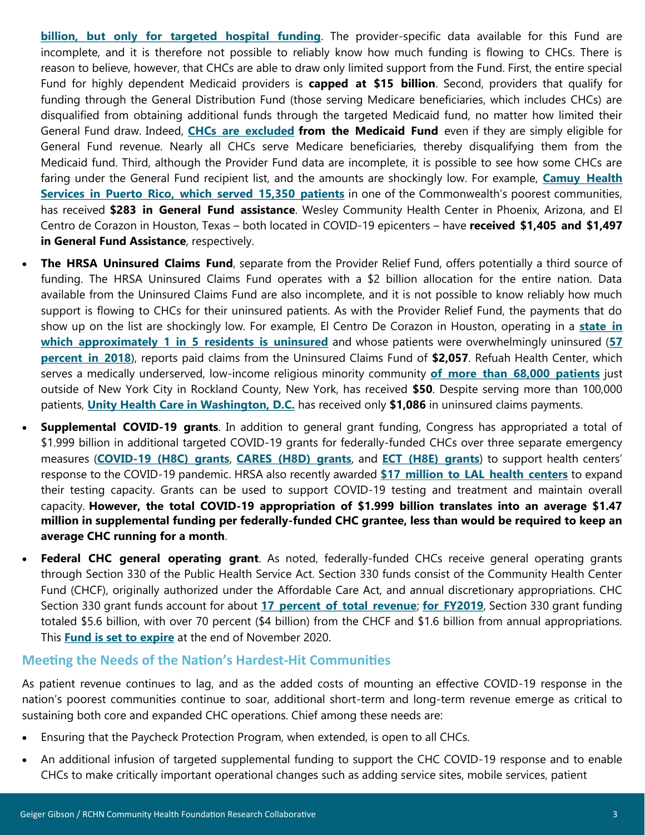**[billion, but only for targeted hospital funding](https://www.hhs.gov/about/news/2020/07/10/hhs-announces-over-4-billion-in-additional-relief-payments-to-providers-impacted-by-coronavirus-pandemic.html)**. The provider-specific data available for this Fund are incomplete, and it is therefore not possible to reliably know how much funding is flowing to CHCs. There is reason to believe, however, that CHCs are able to draw only limited support from the Fund. First, the entire special Fund for highly dependent Medicaid providers is **capped at \$15 billion**. Second, providers that qualify for funding through the General Distribution Fund (those serving Medicare beneficiaries, which includes CHCs) are disqualified from obtaining additional funds through the targeted Medicaid fund, no matter how limited their General Fund draw. Indeed, **[CHCs are excluded](https://www.hhs.gov/sites/default/files/medicaid-provider-distribution-instructions.pdf?language=es) from the Medicaid Fund** even if they are simply eligible for General Fund revenue. Nearly all CHCs serve Medicare beneficiaries, thereby disqualifying them from the Medicaid fund. Third, although the Provider Fund data are incomplete, it is possible to see how some CHCs are faring under the General Fund recipient list, and the amounts are shockingly low. For example, **[Camuy Health](https://bphc.hrsa.gov/uds/datacenter.aspx?q=d&bid=020910&state=PR&year=2018)  [Services in Puerto Rico, which served 15,350 patients](https://bphc.hrsa.gov/uds/datacenter.aspx?q=d&bid=020910&state=PR&year=2018)** in one of the Commonwealth's poorest communities, has received **\$283 in General Fund assistance**. Wesley Community Health Center in Phoenix, Arizona, and El Centro de Corazon in Houston, Texas – both located in COVID-19 epicenters – have **received \$1,405 and \$1,497 in General Fund Assistance**, respectively.

- **The HRSA Uninsured Claims Fund**, separate from the Provider Relief Fund, offers potentially a third source of funding. The HRSA Uninsured Claims Fund operates with a \$2 billion allocation for the entire nation. Data available from the Uninsured Claims Fund are also incomplete, and it is not possible to know reliably how much support is flowing to CHCs for their uninsured patients. As with the Provider Relief Fund, the payments that do show up on the list are shockingly low. For example, El Centro De Corazon in Houston, operating in a **[state in](https://www.kff.org/other/state-indicator/total-population/?currentTimeframe=0&sortModel=%7B%22colId%22:%22Uninsured%22,%22sort%22:%22desc%22%7D)  [which approximately 1 in 5 residents is uninsured](https://www.kff.org/other/state-indicator/total-population/?currentTimeframe=0&sortModel=%7B%22colId%22:%22Uninsured%22,%22sort%22:%22desc%22%7D)** and whose patients were overwhelmingly uninsured (**[57](https://bphc.hrsa.gov/uds/datacenter.aspx?q=d&bid=0614370&state=TX&year=2018)  [percent in 2018](https://bphc.hrsa.gov/uds/datacenter.aspx?q=d&bid=0614370&state=TX&year=2018)**), reports paid claims from the Uninsured Claims Fund of **\$2,057**. Refuah Health Center, which serves a medically underserved, low-income religious minority community **[of more than 68,000 patients](https://bphc.hrsa.gov/uds/datacenter.aspx?q=d&bid=027260&state=NY&year=2018)** just outside of New York City in Rockland County, New York, has received **\$50**. Despite serving more than 100,000 patients, **[Unity Health Care in Washington, D.C.](change%20link%20to%20https:/bphc.hrsa.gov/uds/datacenter.aspx?q=d&bid=037020&state=DC)** has received only **\$1,086** in uninsured claims payments.
- **Supplemental COVID-19 grants**. In addition to general grant funding, Congress has appropriated a total of \$1.999 billion in additional targeted COVID-19 grants for federally-funded CHCs over three separate emergency measures (**[COVID-19 \(H8C\) grants](https://bphc.hrsa.gov/program-opportunities/coronavirus-disease-2019)**, **[CARES \(H8D\) grants](https://bphc.hrsa.gov/program-opportunities/cares-supplemental-funding)**, and **[ECT \(H8E\) grants](https://bphc.hrsa.gov/program-opportunities/expanding-capacity-coronavirus-testing-supplemental-funding)**) to support health centers' response to the COVID-19 pandemic. HRSA also recently awarded **[\\$17 million to LAL health centers](https://www.hhs.gov/about/news/2020/07/09/hhs-awards-more-than-21-million-to-support-health-centers-covid-19-response.html)** to expand their testing capacity. Grants can be used to support COVID-19 testing and treatment and maintain overall capacity. **However, the total COVID-19 appropriation of \$1.999 billion translates into an average \$1.47 million in supplemental funding per federally-funded CHC grantee, less than would be required to keep an average CHC running for a month**.
- **Federal CHC general operating grant**. As noted, federally-funded CHCs receive general operating grants through Section 330 of the Public Health Service Act. Section 330 funds consist of the Community Health Center Fund (CHCF), originally authorized under the Affordable Care Act, and annual discretionary appropriations. CHC Section 330 grant funds account for about **[17 percent of total revenue](https://www.rchnfoundation.org/?p=8436)**; **[for FY2019](http://files.kff.org/attachment/Issue-Brief-Community-Health-Center-Financing-The-Role-of-Medicaid-and-Section-330-Grant-Funding-Explained)**, Section 330 grant funding totaled \$5.6 billion, with over 70 percent (\$4 billion) from the CHCF and \$1.6 billion from annual appropriations. This **[Fund is set to expire](https://www.nejm.org/doi/full/10.1056/NEJMp2020576)** at the end of November 2020.

#### **Meeting the Needs of the Nation's Hardest-Hit Communities**

As patient revenue continues to lag, and as the added costs of mounting an effective COVID-19 response in the nation's poorest communities continue to soar, additional short-term and long-term revenue emerge as critical to sustaining both core and expanded CHC operations. Chief among these needs are:

- Ensuring that the Paycheck Protection Program, when extended, is open to all CHCs.
- An additional infusion of targeted supplemental funding to support the CHC COVID-19 response and to enable CHCs to make critically important operational changes such as adding service sites, mobile services, patient